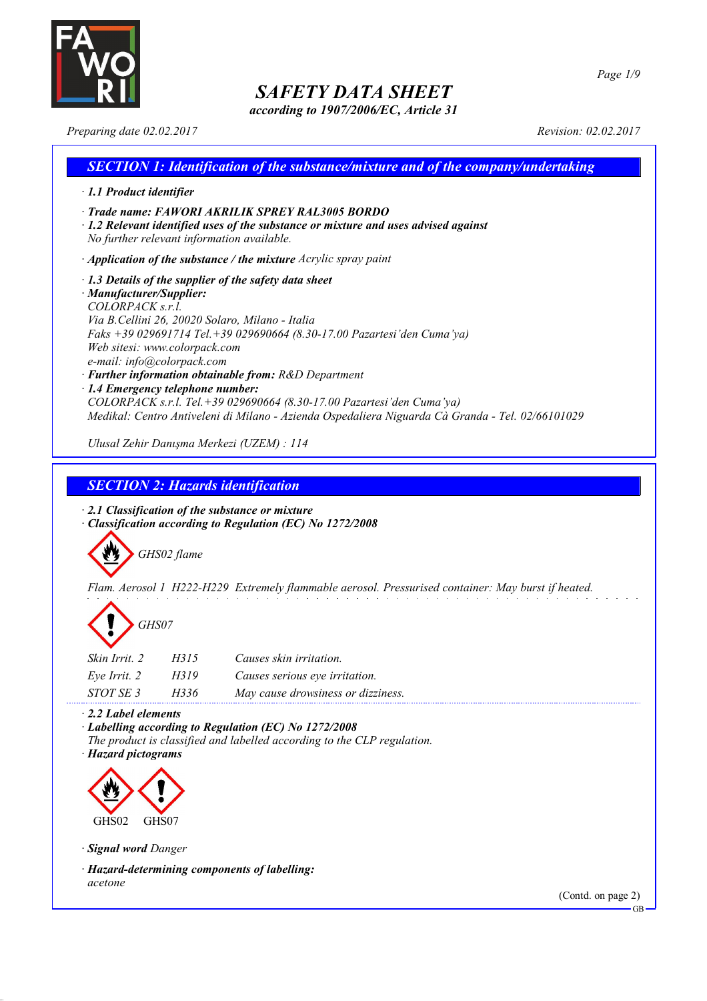

*according to 1907/2006/EC, Article 31*

*Preparing date 02.02.2017 Revision: 02.02.2017*

### *SECTION 1: Identification of the substance/mixture and of the company/undertaking · 1.1 Product identifier · Trade name: FAWORI AKRILIK SPREY RAL3005 BORDO · 1.2 Relevant identified uses of the substance or mixture and uses advised against No further relevant information available. · Application of the substance / the mixture Acrylic spray paint · 1.3 Details of the supplier of the safety data sheet · Manufacturer/Supplier: COLORPACK s.r.l. Via B.Cellini 26, 20020 Solaro, Milano - Italia Faks +39 029691714 Tel.+39 029690664 (8.30-17.00 Pazartesi'den Cuma'ya) Web sitesi: www.colorpack.com e-mail: info@colorpack.com · Further information obtainable from: R&D Department · 1.4 Emergency telephone number: COLORPACK s.r.l. Tel.+39 029690664 (8.30-17.00 Pazartesi'den Cuma'ya) Medikal: Centro Antiveleni di Milano - Azienda Ospedaliera Niguarda Cà Granda - Tel. 02/66101029 Ulusal Zehir Danışma Merkezi (UZEM) : 114*

### *SECTION 2: Hazards identification*

*· 2.1 Classification of the substance or mixture · Classification according to Regulation (EC) No 1272/2008*



*Flam. Aerosol 1 H222-H229 Extremely flammable aerosol. Pressurised container: May burst if heated.*



| <i>Skin Irrit.</i> 2 | H315 | Causes skin irritation.            |
|----------------------|------|------------------------------------|
| Eve Irrit. 2         | H319 | Causes serious eye irritation.     |
| STOT SE 3            | H336 | May cause drowsiness or dizziness. |

*· 2.2 Label elements*

*· Labelling according to Regulation (EC) No 1272/2008 The product is classified and labelled according to the CLP regulation.*

*· Hazard pictograms*



*· Signal word Danger*

*· Hazard-determining components of labelling: acetone*

(Contd. on page 2)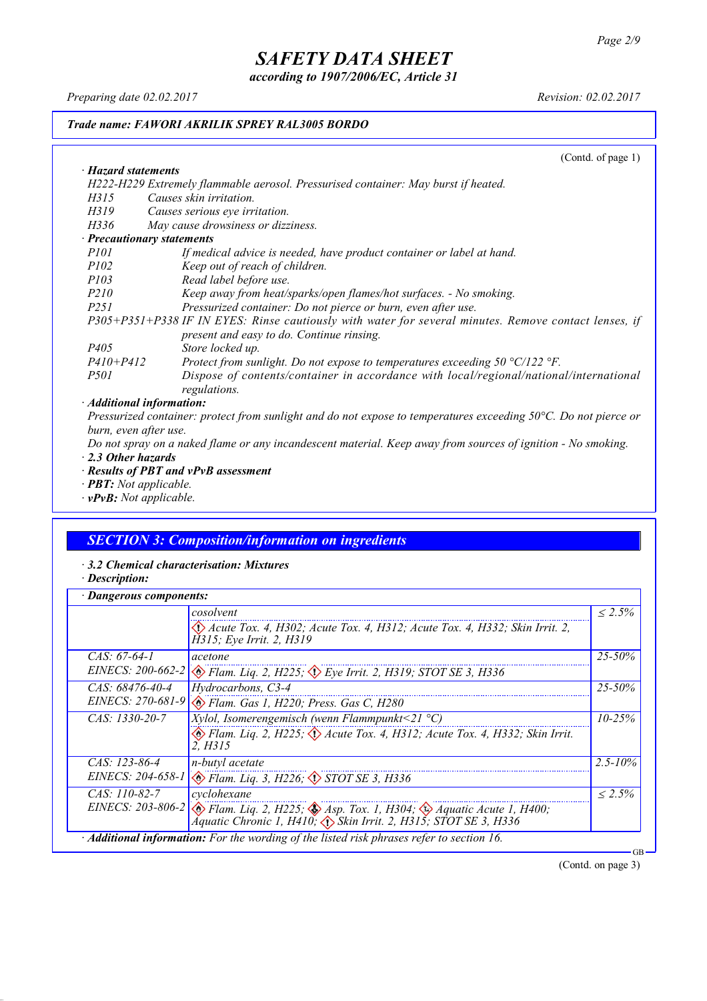*according to 1907/2006/EC, Article 31*

*Preparing date 02.02.2017 Revision: 02.02.2017*

*· Hazard statements*

### *Trade name: FAWORI AKRILIK SPREY RAL3005 BORDO*

(Contd. of page 1)

| H222-H229 Extremely flammable aerosol. Pressurised container: May burst if heated.                             |
|----------------------------------------------------------------------------------------------------------------|
| Causes skin irritation.<br>H315                                                                                |
| H319<br>Causes serious eye irritation.                                                                         |
| May cause drowsiness or dizziness.<br>H336                                                                     |
| · Precautionary statements                                                                                     |
| If medical advice is needed, have product container or label at hand.<br><i>P101</i>                           |
| <i>P102</i><br>Keep out of reach of children.                                                                  |
| Read label before use.<br>P103                                                                                 |
| P <sub>210</sub><br>Keep away from heat/sparks/open flames/hot surfaces. - No smoking.                         |
| Pressurized container: Do not pierce or burn, even after use.<br><i>P251</i>                                   |
| P305+P351+P338 IF IN EYES: Rinse cautiously with water for several minutes. Remove contact lenses, if          |
| present and easy to do. Continue rinsing.                                                                      |
| P <sub>405</sub><br>Store locked up.                                                                           |
| $P410 + P412$<br>Protect from sunlight. Do not expose to temperatures exceeding $50 \degree C/122 \degree F$ . |
| Dispose of contents/container in accordance with local/regional/national/international<br><i>P501</i>          |
| regulations.                                                                                                   |
| $\cdot$ Additional information $\cdot$                                                                         |

*· Additional information:*

Pressurized container: protect from sunlight and do not expose to temperatures exceeding 50°C. Do not pierce or *burn, even after use.*

Do not spray on a naked flame or any incandescent material. Keep away from sources of ignition - No smoking. *· 2.3 Other hazards*

- *· Results of PBT and vPvB assessment*
- *· PBT: Not applicable.*
- *· vPvB: Not applicable.*

### *SECTION 3: Composition/information on ingredients*

- *· 3.2 Chemical characterisation: Mixtures*
- *· Description:*

| Dangerous components: |                                                                                                                                                                                                  |              |
|-----------------------|--------------------------------------------------------------------------------------------------------------------------------------------------------------------------------------------------|--------------|
|                       | cosolvent                                                                                                                                                                                        | $< 2.5\%$    |
|                       | Acute Tox. 4, H302; Acute Tox. 4, H312; Acute Tox. 4, H332; Skin Irrit. 2,<br>H315; Eye Irrit. 2, H319                                                                                           |              |
| $CAS: 67-64-1$        | acetone                                                                                                                                                                                          | $25 - 50\%$  |
|                       | EINECS: 200-662-2 $\otimes$ Flam. Liq. 2, H225; $\otimes$ Eye Irrit. 2, H319; STOT SE 3, H336                                                                                                    |              |
| $CAS: 68476-40-4$     | Hydrocarbons, C3-4                                                                                                                                                                               | $25 - 50\%$  |
|                       | EINECS: 270-681-9 & Flam. Gas 1, H220; Press. Gas C, H280                                                                                                                                        |              |
| $CAS: 1330-20-7$      | Xylol, Isomerengemisch (wenn Flammpunkt<21 $^{\circ}$ C)                                                                                                                                         | $10 - 25\%$  |
|                       | Elam. Liq. 2, H225; $\Diamond$ Acute Tox. 4, H312; Acute Tox. 4, H332; Skin Irrit.<br>2. H315                                                                                                    |              |
| $CAS: 123-86-4$       | n-butyl acetate                                                                                                                                                                                  | $2.5 - 10\%$ |
|                       | EINECS: 204-658-1 & Flam. Liq. 3, H226; STOT SE 3, H336                                                                                                                                          |              |
| $CAS: 110-82-7$       | cyclohexane                                                                                                                                                                                      | $< 2.5\%$    |
|                       | EINECS: 203-806-2 $\otimes$ Flam. Liq. 2, H225; $\otimes$ Asp. Tox. 1, H304; $\otimes$ Aquatic Acute 1, H400;<br>Aquatic Chronic 1, H410; $\langle \rangle$ Skin Irrit. 2, H315; STOT SE 3, H336 |              |
|                       | $\cdot$ <b>Additional information:</b> For the wording of the listed risk phrases refer to section 16.                                                                                           |              |

(Contd. on page 3)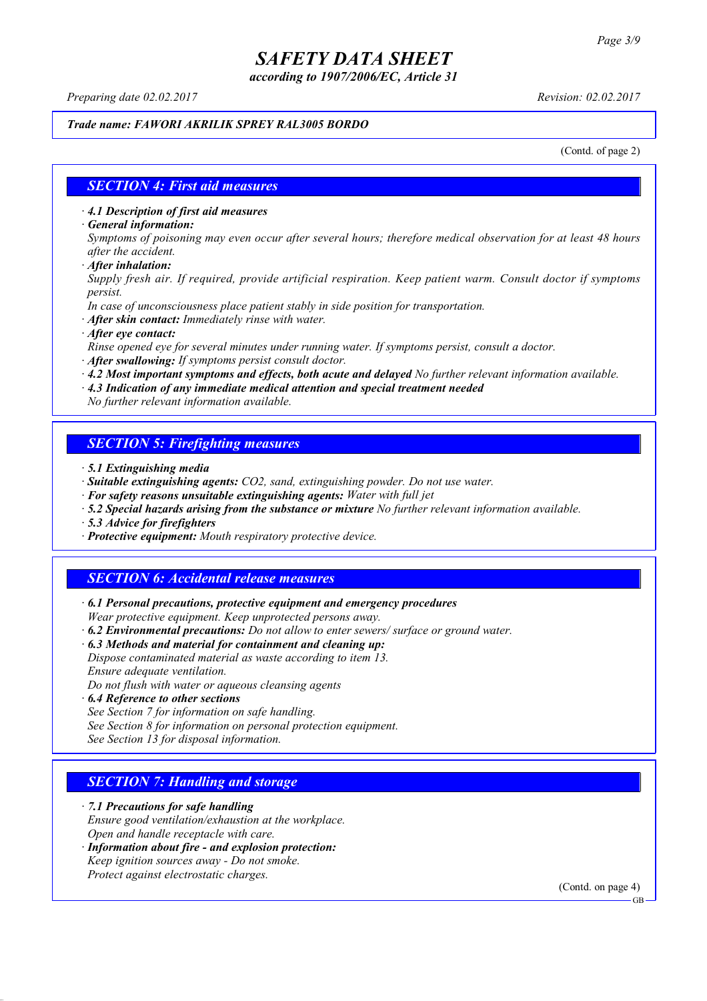*according to 1907/2006/EC, Article 31*

*Preparing date 02.02.2017 Revision: 02.02.2017*

### *Trade name: FAWORI AKRILIK SPREY RAL3005 BORDO*

(Contd. of page 2)

### *SECTION 4: First aid measures*

*· 4.1 Description of first aid measures*

*· General information:*

Symptoms of poisoning may even occur after several hours; therefore medical observation for at least 48 hours *after the accident.*

*· After inhalation:*

*Supply fresh air. If required, provide artificial respiration. Keep patient warm. Consult doctor if symptoms persist.*

*In case of unconsciousness place patient stably in side position for transportation.*

- *· After skin contact: Immediately rinse with water.*
- *· After eye contact:*

*Rinse opened eye for several minutes under running water. If symptoms persist, consult a doctor.*

*· After swallowing: If symptoms persist consult doctor.*

*· 4.2 Most important symptoms and effects, both acute and delayed No further relevant information available.*

*· 4.3 Indication of any immediate medical attention and special treatment needed*

*No further relevant information available.*

### *SECTION 5: Firefighting measures*

- *· 5.1 Extinguishing media*
- *· Suitable extinguishing agents: CO2, sand, extinguishing powder. Do not use water.*
- *· For safety reasons unsuitable extinguishing agents: Water with full jet*
- *· 5.2 Special hazards arising from the substance or mixture No further relevant information available.*
- *· 5.3 Advice for firefighters*
- *· Protective equipment: Mouth respiratory protective device.*

### *SECTION 6: Accidental release measures*

*· 6.1 Personal precautions, protective equipment and emergency procedures Wear protective equipment. Keep unprotected persons away.*

*· 6.2 Environmental precautions: Do not allow to enter sewers/ surface or ground water.*

*· 6.3 Methods and material for containment and cleaning up:*

*Dispose contaminated material as waste according to item 13. Ensure adequate ventilation.*

*Do not flush with water or aqueous cleansing agents*

- *· 6.4 Reference to other sections*
- *See Section 7 for information on safe handling.*

*See Section 8 for information on personal protection equipment.*

*See Section 13 for disposal information.*

### *SECTION 7: Handling and storage*

*· 7.1 Precautions for safe handling*

*Ensure good ventilation/exhaustion at the workplace.*

*Open and handle receptacle with care.*

*· Information about fire - and explosion protection: Keep ignition sources away - Do not smoke.*

*Protect against electrostatic charges.*

(Contd. on page 4)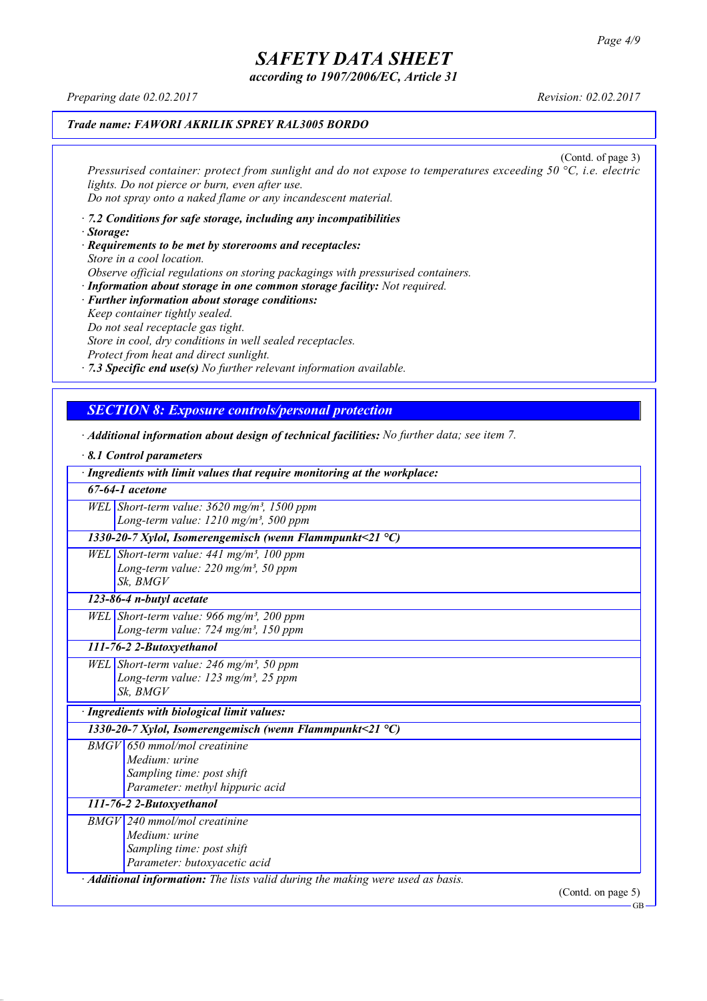*according to 1907/2006/EC, Article 31*

*Preparing date 02.02.2017 Revision: 02.02.2017*

### *Trade name: FAWORI AKRILIK SPREY RAL3005 BORDO*

(Contd. of page 3) *Pressurised container: protect from sunlight and do not expose to temperatures exceeding 50 °C, i.e. electric lights. Do not pierce or burn, even after use. Do not spray onto a naked flame or any incandescent material.*

- *· 7.2 Conditions for safe storage, including any incompatibilities · Storage:*
- *· Requirements to be met by storerooms and receptacles: Store in a cool location. Observe official regulations on storing packagings with pressurised containers.*
- *· Information about storage in one common storage facility: Not required. · Further information about storage conditions: Keep container tightly sealed. Do not seal receptacle gas tight. Store in cool, dry conditions in well sealed receptacles. Protect from heat and direct sunlight.*

*· 7.3 Specific end use(s) No further relevant information available.*

### *SECTION 8: Exposure controls/personal protection*

- *· Additional information about design of technical facilities: No further data; see item 7.*
- *· 8.1 Control parameters · Ingredients with limit values that require monitoring at the workplace: 67-64-1 acetone WEL Short-term value: 3620 mg/m³, 1500 ppm Long-term value: 1210 mg/m³, 500 ppm 1330-20-7 Xylol, Isomerengemisch (wenn Flammpunkt<21 °C) WEL Short-term value: 441 mg/m³, 100 ppm Long-term value: 220 mg/m³, 50 ppm Sk, BMGV 123-86-4 n-butyl acetate WEL Short-term value: 966 mg/m³, 200 ppm Long-term value: 724 mg/m³, 150 ppm 111-76-2 2-Butoxyethanol WEL Short-term value: 246 mg/m³, 50 ppm Long-term value: 123 mg/m³, 25 ppm Sk, BMGV · Ingredients with biological limit values: 1330-20-7 Xylol, Isomerengemisch (wenn Flammpunkt<21 °C) BMGV 650 mmol/mol creatinine Medium: urine Sampling time: post shift Parameter: methyl hippuric acid 111-76-2 2-Butoxyethanol BMGV 240 mmol/mol creatinine Medium: urine Sampling time: post shift Parameter: butoxyacetic acid · Additional information: The lists valid during the making were used as basis.* (Contd. on page 5)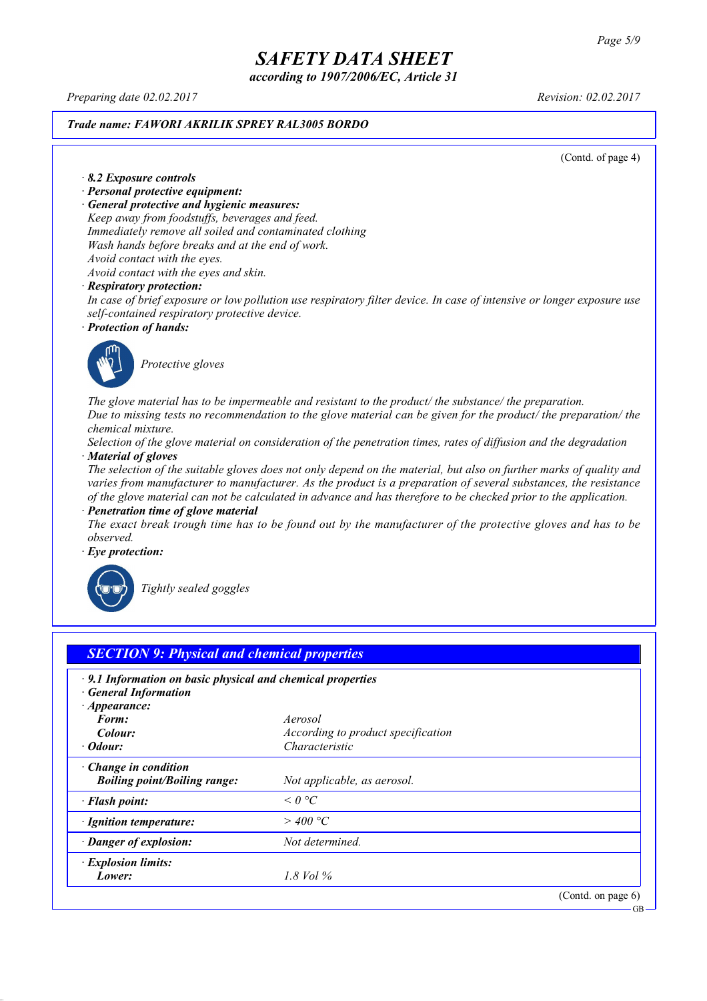*according to 1907/2006/EC, Article 31*

*Preparing date 02.02.2017 Revision: 02.02.2017*

#### *Trade name: FAWORI AKRILIK SPREY RAL3005 BORDO*

(Contd. of page 4)

#### *· 8.2 Exposure controls*

- *· Personal protective equipment:*
- *· General protective and hygienic measures:*

*Keep away from foodstuffs, beverages and feed. Immediately remove all soiled and contaminated clothing Wash hands before breaks and at the end of work. Avoid contact with the eyes.*

*Avoid contact with the eyes and skin.*

#### *· Respiratory protection:*

In case of brief exposure or low pollution use respiratory filter device. In case of intensive or longer exposure use *self-contained respiratory protective device.*

*· Protection of hands:*



*Protective gloves*

*The glove material has to be impermeable and resistant to the product/ the substance/ the preparation.* Due to missing tests no recommendation to the glove material can be given for the product/ the preparation/ the *chemical mixture.*

Selection of the glove material on consideration of the penetration times, rates of diffusion and the degradation *· Material of gloves*

The selection of the suitable gloves does not only depend on the material, but also on further marks of quality and *varies from manufacturer to manufacturer. As the product is a preparation of several substances, the resistance* of the glove material can not be calculated in advance and has therefore to be checked prior to the application.

*· Penetration time of glove material*

The exact break trough time has to be found out by the manufacturer of the protective gloves and has to be *observed.*

*· Eye protection:*



*Tightly sealed goggles*

| $\cdot$ 9.1 Information on basic physical and chemical properties<br><b>General Information</b> |                                    |  |
|-------------------------------------------------------------------------------------------------|------------------------------------|--|
| $\cdot$ Appearance:                                                                             |                                    |  |
| Form:                                                                                           | Aerosol                            |  |
| Colour:                                                                                         | According to product specification |  |
| · Odour:                                                                                        | Characteristic                     |  |
| $\cdot$ Change in condition                                                                     |                                    |  |
| <b>Boiling point/Boiling range:</b>                                                             | Not applicable, as aerosol.        |  |
| · Flash point:                                                                                  | $\leq$ 0 $^{\circ}$ C              |  |
| · Ignition temperature:                                                                         | $>$ 400 °C                         |  |
| · Danger of explosion:                                                                          | Not determined.                    |  |
| · Explosion limits:                                                                             |                                    |  |
| Lower:                                                                                          | 1.8 Vol $\%$                       |  |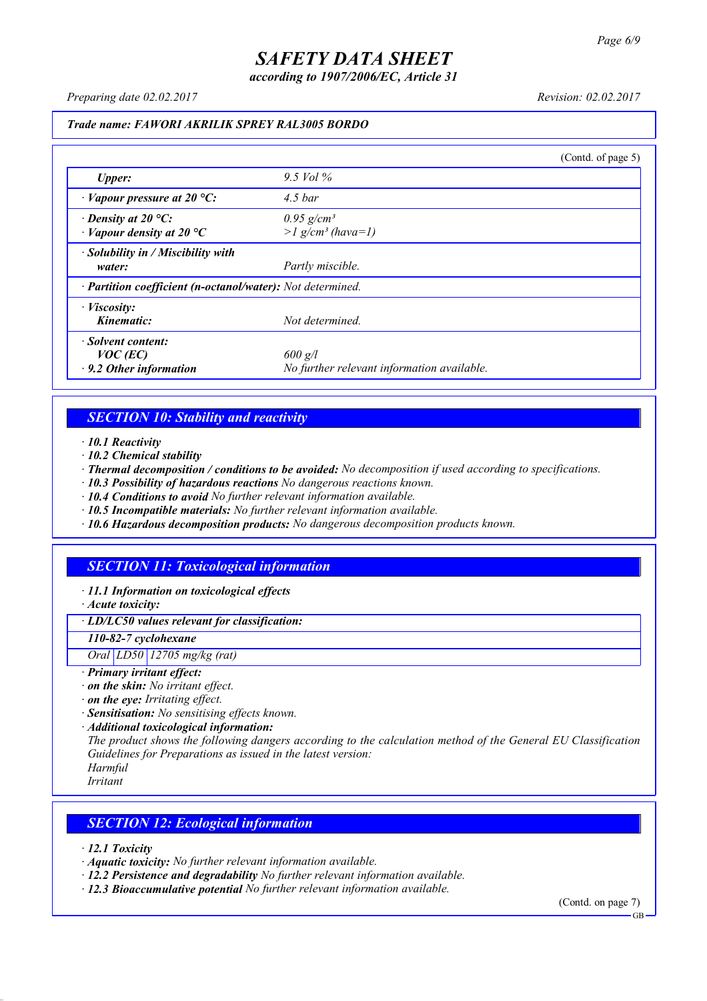*according to 1907/2006/EC, Article 31*

*Preparing date 02.02.2017 Revision: 02.02.2017*

#### *Trade name: FAWORI AKRILIK SPREY RAL3005 BORDO*

|                                                                   |                                                             | (Contd. of page 5) |
|-------------------------------------------------------------------|-------------------------------------------------------------|--------------------|
| <b>Upper:</b>                                                     | $9.5$ Vol $\%$                                              |                    |
| $\cdot$ Vapour pressure at 20 °C:                                 | $4.5$ bar                                                   |                    |
| $\cdot$ Density at 20 °C:<br>$\cdot$ Vapour density at 20 °C      | $0.95$ g/cm <sup>3</sup><br>$>l$ g/cm <sup>3</sup> (hava=1) |                    |
| $\cdot$ Solubility in / Miscibility with<br>water:                | Partly miscible.                                            |                    |
| · Partition coefficient (n-octanol/water): Not determined.        |                                                             |                    |
| $\cdot$ <i>Viscosity:</i><br>Kinematic:                           | Not determined.                                             |                    |
| · Solvent content:<br>$VOC$ (EC)<br>$\cdot$ 9.2 Other information | $600$ g/l<br>No further relevant information available.     |                    |

### *SECTION 10: Stability and reactivity*

*· 10.1 Reactivity*

- *· 10.2 Chemical stability*
- *· Thermal decomposition / conditions to be avoided: No decomposition if used according to specifications.*
- *· 10.3 Possibility of hazardous reactions No dangerous reactions known.*
- *· 10.4 Conditions to avoid No further relevant information available.*
- *· 10.5 Incompatible materials: No further relevant information available.*
- *· 10.6 Hazardous decomposition products: No dangerous decomposition products known.*

### *SECTION 11: Toxicological information*

*· 11.1 Information on toxicological effects*

*· Acute toxicity:*

*· LD/LC50 values relevant for classification:*

*110-82-7 cyclohexane*

*Oral LD50 12705 mg/kg (rat)*

- *· Primary irritant effect:*
- *· on the skin: No irritant effect.*
- *· on the eye: Irritating effect.*
- *· Sensitisation: No sensitising effects known.*
- *· Additional toxicological information:*

*The product shows the following dangers according to the calculation method of the General EU Classification Guidelines for Preparations as issued in the latest version:*

*Harmful Irritant*

### *SECTION 12: Ecological information*

*· 12.1 Toxicity*

- *· Aquatic toxicity: No further relevant information available.*
- *· 12.2 Persistence and degradability No further relevant information available.*
- *· 12.3 Bioaccumulative potential No further relevant information available.*

(Contd. on page 7) **GB**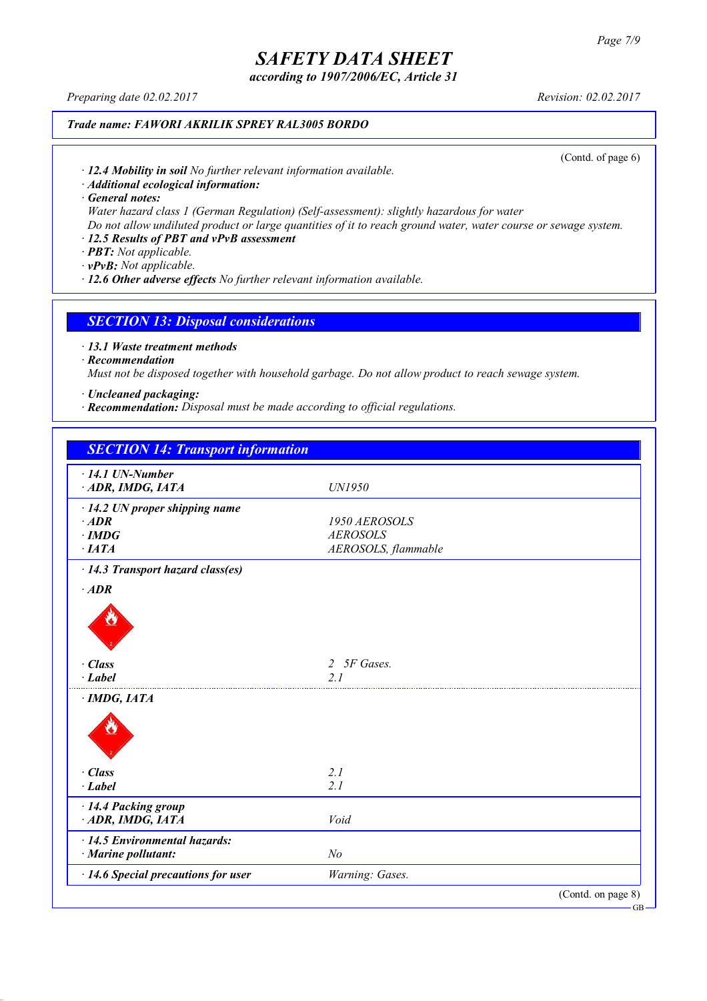*according to 1907/2006/EC, Article 31*

*Preparing date 02.02.2017 Revision: 02.02.2017*

### *Trade name: FAWORI AKRILIK SPREY RAL3005 BORDO*

(Contd. of page 6)

*· 12.4 Mobility in soil No further relevant information available.*

*· Additional ecological information:*

*· General notes:*

*Water hazard class 1 (German Regulation) (Self-assessment): slightly hazardous for water*

Do not allow undiluted product or large quantities of it to reach ground water, water course or sewage system.

### *· 12.5 Results of PBT and vPvB assessment*

*· PBT: Not applicable.*

*· vPvB: Not applicable.*

*· 12.6 Other adverse effects No further relevant information available.*

#### *SECTION 13: Disposal considerations*

*· 13.1 Waste treatment methods*

*· Recommendation*

*Must not be disposed together with household garbage. Do not allow product to reach sewage system.*

*· Uncleaned packaging:*

*· Recommendation: Disposal must be made according to official regulations.*

| <b>SECTION 14: Transport information</b> |                             |                    |
|------------------------------------------|-----------------------------|--------------------|
| $\cdot$ 14.1 UN-Number                   |                             |                    |
| ADR, IMDG, IATA                          | UN1950                      |                    |
| $\cdot$ 14.2 UN proper shipping name     |                             |                    |
| $·$ <i>ADR</i>                           | 1950 AEROSOLS               |                    |
| $\cdot$ IMDG                             | <b>AEROSOLS</b>             |                    |
| $\cdot$ IATA                             | AEROSOLS, flammable         |                    |
| · 14.3 Transport hazard class(es)        |                             |                    |
| $·$ <i>ADR</i>                           |                             |                    |
|                                          |                             |                    |
| · Class                                  | 5F Gases.<br>$\overline{2}$ |                    |
| $-Label$                                 | 21                          |                    |
| $\cdot$ IMDG, IATA                       |                             |                    |
|                                          |                             |                    |
| · Class                                  | 2.1                         |                    |
| $\cdot$ Label                            | 2.1                         |                    |
| · 14.4 Packing group                     |                             |                    |
| ADR, IMDG, IATA                          | Void                        |                    |
| · 14.5 Environmental hazards:            |                             |                    |
| · Marine pollutant:                      | N <sub>o</sub>              |                    |
| · 14.6 Special precautions for user      | Warning: Gases.             |                    |
|                                          |                             | (Contd. on page 8) |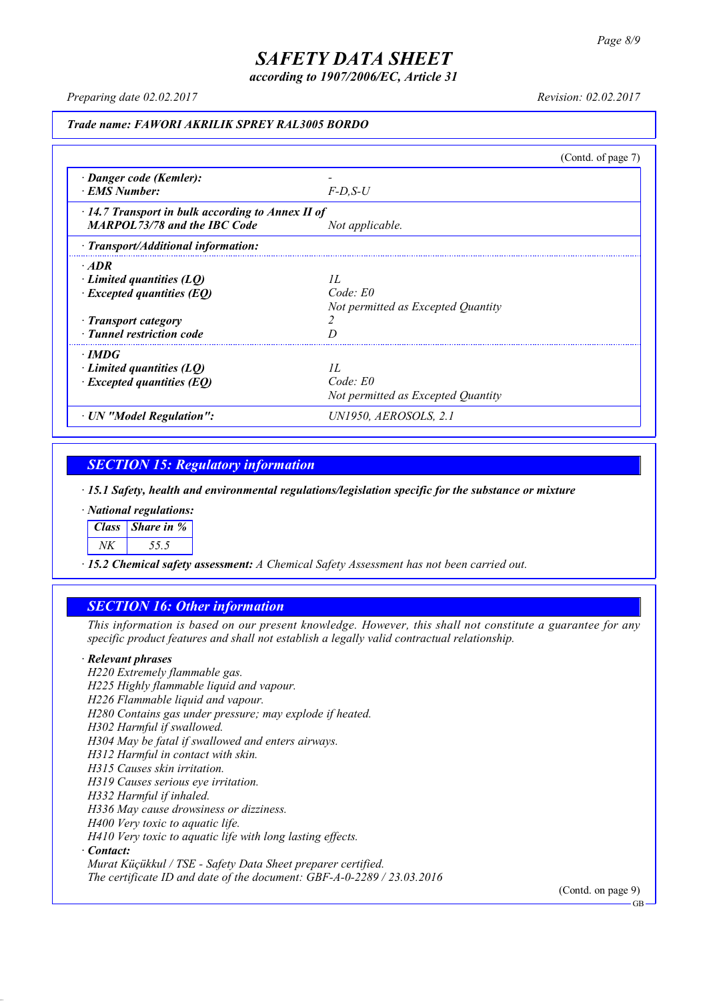*according to 1907/2006/EC, Article 31*

*Preparing date 02.02.2017 Revision: 02.02.2017*

#### *Trade name: FAWORI AKRILIK SPREY RAL3005 BORDO*

|                                                                                                                                         |                                                          | (Contd. of page $7$ ) |
|-----------------------------------------------------------------------------------------------------------------------------------------|----------------------------------------------------------|-----------------------|
| · Danger code (Kemler):<br>· EMS Number:                                                                                                | $F$ -D.S-U                                               |                       |
| $\cdot$ 14.7 Transport in bulk according to Annex II of<br><b>MARPOL73/78 and the IBC Code</b>                                          | Not applicable.                                          |                       |
| · Transport/Additional information:                                                                                                     |                                                          |                       |
| $\cdot$ ADR<br>$\cdot$ Limited quantities (LQ)<br>$\cdot$ Excepted quantities (EQ)<br>· Transport category<br>· Tunnel restriction code | II.<br>Code: E0<br>Not permitted as Excepted Quantity    |                       |
| $\cdot$ IMDG<br>Limited quantities (LO)<br>$\cdot$ Excepted quantities (EQ)                                                             | II.<br>$Code$ $E0$<br>Not permitted as Excepted Quantity |                       |
| · UN "Model Regulation":                                                                                                                | UN1950, AEROSOLS, 2.1                                    |                       |

### *SECTION 15: Regulatory information*

*· 15.1 Safety, health and environmental regulations/legislation specific for the substance or mixture*

*· National regulations:*

*Class Share in %*

*NK 55.5*

*· 15.2 Chemical safety assessment: A Chemical Safety Assessment has not been carried out.*

### *SECTION 16: Other information*

This information is based on our present knowledge. However, this shall not constitute a guarantee for any *specific product features and shall not establish a legally valid contractual relationship.*

#### *· Relevant phrases*

*H220 Extremely flammable gas. H225 Highly flammable liquid and vapour. H226 Flammable liquid and vapour. H280 Contains gas under pressure; may explode if heated. H302 Harmful if swallowed. H304 May be fatal if swallowed and enters airways. H312 Harmful in contact with skin. H315 Causes skin irritation. H319 Causes serious eye irritation. H332 Harmful if inhaled. H336 May cause drowsiness or dizziness. H400 Very toxic to aquatic life. H410 Very toxic to aquatic life with long lasting effects. · Contact: Murat Küçükkul / TSE - Safety Data Sheet preparer certified.*

*The certificate ID and date of the document: GBF-A-0-2289 / 23.03.2016*

(Contd. on page 9)